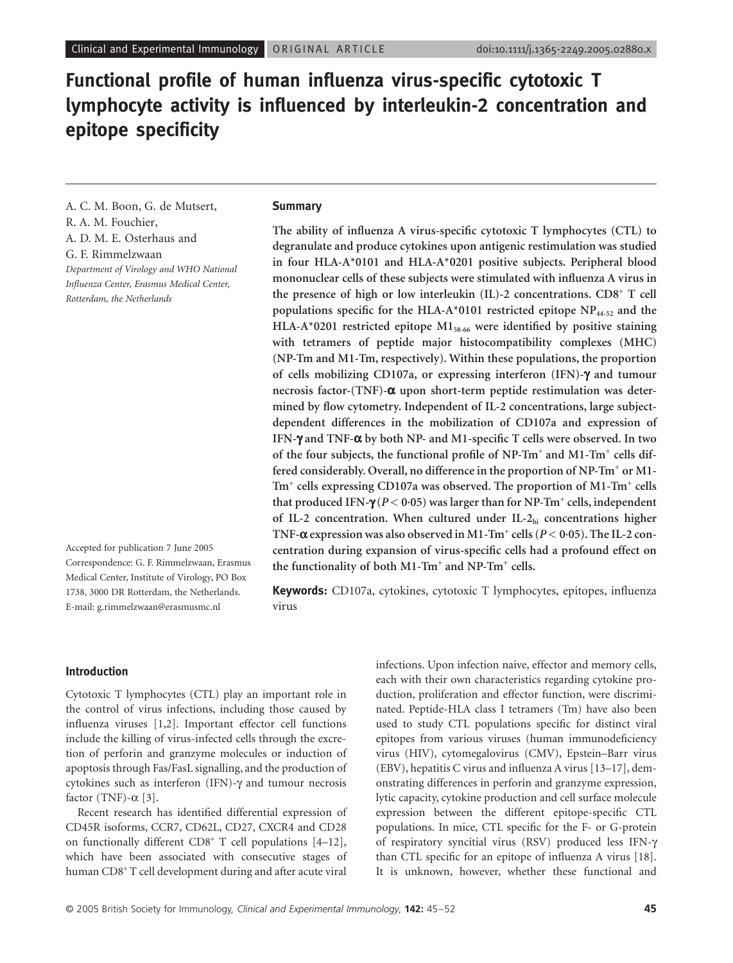# **Functional profile of human influenza virus-specific cytotoxic T lymphocyte activity is influenced by interleukin-2 concentration and epitope specificity**

A. C. M. Boon, G. de Mutsert, R. A. M. Fouchier, A. D. M. E. Osterhaus and G. F. Rimmelzwaan *Department of Virology and WHO National Influenza Center, Erasmus Medical Center, Rotterdam, the Netherlands*

Accepted for publication 7 June 2005 Correspondence: G. F. Rimmelzwaan, Erasmus Medical Center, Institute of Virology, PO Box 1738, 3000 DR Rotterdam, the Netherlands. E-mail: g.rimmelzwaan@erasmusmc.nl

#### **Summary**

**The ability of influenza A virus-specific cytotoxic T lymphocytes (CTL) to degranulate and produce cytokines upon antigenic restimulation was studied in four HLA-A\*0101 and HLA-A\*0201 positive subjects. Peripheral blood mononuclear cells of these subjects were stimulated with influenza A virus in the presence of high or low interleukin (IL)-2 concentrations. CD8+ T cell** populations specific for the HLA-A\*0101 restricted epitope NP<sub>44-52</sub> and the **HLA-A\*0201 restricted epitope M158-66 were identified by positive staining with tetramers of peptide major histocompatibility complexes (MHC) (NP-Tm and M1-Tm, respectively). Within these populations, the proportion of cells mobilizing CD107a, or expressing interferon (IFN)-**g **and tumour necrosis factor-(TNF)-**a **upon short-term peptide restimulation was determined by flow cytometry. Independent of IL-2 concentrations, large subjectdependent differences in the mobilization of CD107a and expression of IFN-**g **and TNF-**a **by both NP- and M1-specific T cells were observed. In two of the four subjects, the functional profile of NP-Tm+ and M1-Tm+ cells differed considerably. Overall, no difference in the proportion of NP-Tm+ or M1- Tm+ cells expressing CD107a was observed. The proportion of M1-Tm+ cells that produced IFN-**g **(***P* **< 0·05) was larger than for NP-Tm+ cells, independent of IL-2 concentration. When cultured under IL-2hi concentrations higher**  $\text{TNF-}\alpha$  expression was also observed in M1-Tm<sup>+</sup> cells ( $P < 0.05$ ). The IL-2 con**centration during expansion of virus-specific cells had a profound effect on the functionality of both M1-Tm+ and NP-Tm+ cells.**

**Keywords:** CD107a, cytokines, cytotoxic T lymphocytes, epitopes, influenza virus

#### **Introduction**

Cytotoxic T lymphocytes (CTL) play an important role in the control of virus infections, including those caused by influenza viruses [1,2]. Important effector cell functions include the killing of virus-infected cells through the excretion of perforin and granzyme molecules or induction of apoptosis through Fas/FasL signalling, and the production of cytokines such as interferon (IFN)- $\gamma$  and tumour necrosis factor (TNF)- $\alpha$  [3].

Recent research has identified differential expression of CD45R isoforms, CCR7, CD62L, CD27, CXCR4 and CD28 on functionally different CD8<sup>+</sup> T cell populations [4-12], which have been associated with consecutive stages of human CD8<sup>+</sup> T cell development during and after acute viral

infections. Upon infection naive, effector and memory cells, each with their own characteristics regarding cytokine production, proliferation and effector function, were discriminated. Peptide-HLA class I tetramers (Tm) have also been used to study CTL populations specific for distinct viral epitopes from various viruses (human immunodeficiency virus (HIV), cytomegalovirus (CMV), Epstein–Barr virus (EBV), hepatitis C virus and influenza A virus [13–17], demonstrating differences in perforin and granzyme expression, lytic capacity, cytokine production and cell surface molecule expression between the different epitope-specific CTL populations. In mice, CTL specific for the F- or G-protein of respiratory syncitial virus (RSV) produced less IFN-g than CTL specific for an epitope of influenza A virus [18]. It is unknown, however, whether these functional and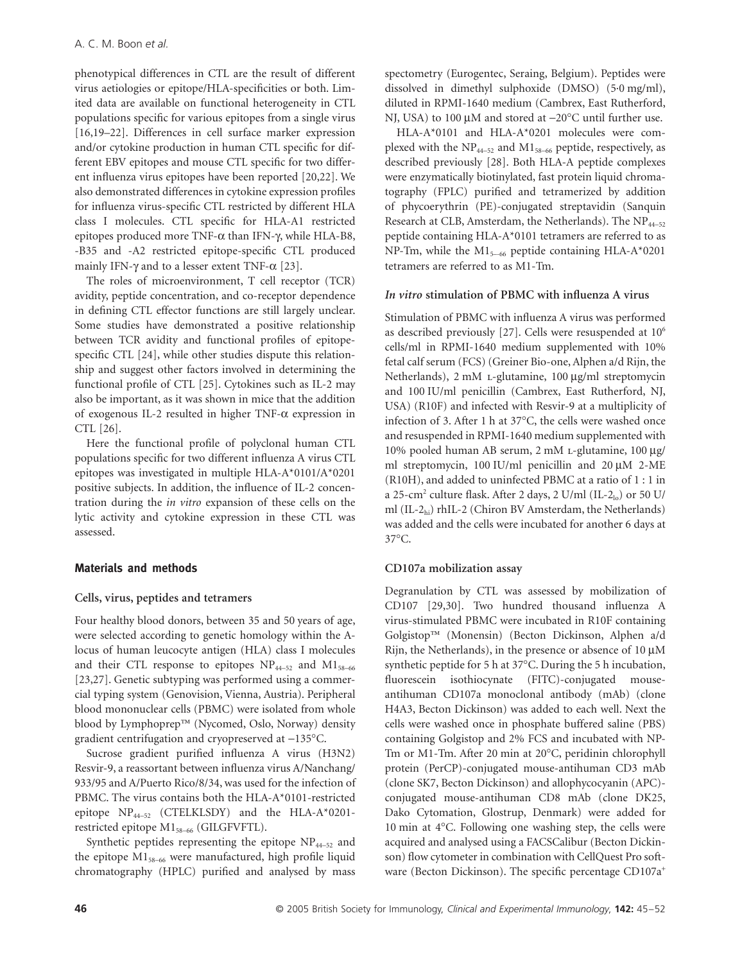phenotypical differences in CTL are the result of different virus aetiologies or epitope/HLA-specificities or both. Limited data are available on functional heterogeneity in CTL populations specific for various epitopes from a single virus [16,19–22]. Differences in cell surface marker expression and/or cytokine production in human CTL specific for different EBV epitopes and mouse CTL specific for two different influenza virus epitopes have been reported [20,22]. We also demonstrated differences in cytokine expression profiles for influenza virus-specific CTL restricted by different HLA class I molecules. CTL specific for HLA-A1 restricted epitopes produced more TNF- $\alpha$  than IFN- $\gamma$ , while HLA-B8, -B35 and -A2 restricted epitope-specific CTL produced mainly IFN- $\gamma$  and to a lesser extent TNF- $\alpha$  [23].

The roles of microenvironment, T cell receptor (TCR) avidity, peptide concentration, and co-receptor dependence in defining CTL effector functions are still largely unclear. Some studies have demonstrated a positive relationship between TCR avidity and functional profiles of epitopespecific CTL [24], while other studies dispute this relationship and suggest other factors involved in determining the functional profile of CTL [25]. Cytokines such as IL-2 may also be important, as it was shown in mice that the addition of exogenous IL-2 resulted in higher TNF- $\alpha$  expression in CTL [26].

Here the functional profile of polyclonal human CTL populations specific for two different influenza A virus CTL epitopes was investigated in multiple HLA-A\*0101/A\*0201 positive subjects. In addition, the influence of IL-2 concentration during the *in vitro* expansion of these cells on the lytic activity and cytokine expression in these CTL was assessed.

## **Materials and methods**

#### **Cells, virus, peptides and tetramers**

Four healthy blood donors, between 35 and 50 years of age, were selected according to genetic homology within the Alocus of human leucocyte antigen (HLA) class I molecules and their CTL response to epitopes  $NP_{44-52}$  and  $M1_{58-66}$ [23,27]. Genetic subtyping was performed using a commercial typing system (Genovision, Vienna, Austria). Peripheral blood mononuclear cells (PBMC) were isolated from whole blood by Lymphoprep™ (Nycomed, Oslo, Norway) density gradient centrifugation and cryopreserved at -135°C.

Sucrose gradient purified influenza A virus (H3N2) Resvir-9, a reassortant between influenza virus A/Nanchang/ 933/95 and A/Puerto Rico/8/34, was used for the infection of PBMC. The virus contains both the HLA-A\*0101-restricted epitope NP44-52 (CTELKLSDY) and the HLA-A\*0201 restricted epitope  $M1_{58-66}$  (GILGFVFTL).

Synthetic peptides representing the epitope  $NP_{44-52}$  and the epitope  $M1_{58-66}$  were manufactured, high profile liquid chromatography (HPLC) purified and analysed by mass spectometry (Eurogentec, Seraing, Belgium). Peptides were dissolved in dimethyl sulphoxide (DMSO) (5·0 mg/ml), diluted in RPMI-1640 medium (Cambrex, East Rutherford, NJ, USA) to 100  $\mu$ M and stored at  $-20^{\circ}$ C until further use.

HLA-A\*0101 and HLA-A\*0201 molecules were complexed with the  $NP_{44-52}$  and  $M1_{58-66}$  peptide, respectively, as described previously [28]. Both HLA-A peptide complexes were enzymatically biotinylated, fast protein liquid chromatography (FPLC) purified and tetramerized by addition of phycoerythrin (PE)-conjugated streptavidin (Sanquin Research at CLB, Amsterdam, the Netherlands). The  $NP_{44-52}$ peptide containing HLA-A\*0101 tetramers are referred to as NP-Tm, while the  $M1_{5-66}$  peptide containing HLA-A\*0201 tetramers are referred to as M1-Tm.

# *In vitro* **stimulation of PBMC with influenza A virus**

Stimulation of PBMC with influenza A virus was performed as described previously [27]. Cells were resuspended at  $10^6$ cells/ml in RPMI-1640 medium supplemented with 10% fetal calf serum (FCS) (Greiner Bio-one, Alphen a/d Rijn, the Netherlands), 2 mM L-glutamine, 100 µg/ml streptomycin and 100 IU/ml penicillin (Cambrex, East Rutherford, NJ, USA) (R10F) and infected with Resvir-9 at a multiplicity of infection of 3. After 1 h at 37∞C, the cells were washed once and resuspended in RPMI-1640 medium supplemented with 10% pooled human AB serum, 2 mM L-glutamine, 100 µg/ ml streptomycin, 100 IU/ml penicillin and 20  $\mu$ M 2-ME (R10H), and added to uninfected PBMC at a ratio of 1 : 1 in a 25-cm<sup>2</sup> culture flask. After 2 days, 2 U/ml (IL-2<sub>lo</sub>) or 50 U/ ml (IL-2hi) rhIL-2 (Chiron BV Amsterdam, the Netherlands) was added and the cells were incubated for another 6 days at 37∞C.

#### **CD107a mobilization assay**

Degranulation by CTL was assessed by mobilization of CD107 [29,30]. Two hundred thousand influenza A virus-stimulated PBMC were incubated in R10F containing Golgistop™ (Monensin) (Becton Dickinson, Alphen a/d Rijn, the Netherlands), in the presence or absence of  $10 \mu M$ synthetic peptide for 5 h at 37∞C. During the 5 h incubation, fluorescein isothiocynate (FITC)-conjugated mouseantihuman CD107a monoclonal antibody (mAb) (clone H4A3, Becton Dickinson) was added to each well. Next the cells were washed once in phosphate buffered saline (PBS) containing Golgistop and 2% FCS and incubated with NP-Tm or M1-Tm. After 20 min at 20∞C, peridinin chlorophyll protein (PerCP)-conjugated mouse-antihuman CD3 mAb (clone SK7, Becton Dickinson) and allophycocyanin (APC) conjugated mouse-antihuman CD8 mAb (clone DK25, Dako Cytomation, Glostrup, Denmark) were added for 10 min at 4∞C. Following one washing step, the cells were acquired and analysed using a FACSCalibur (Becton Dickinson) flow cytometer in combination with CellQuest Pro software (Becton Dickinson). The specific percentage CD107a<sup>+</sup>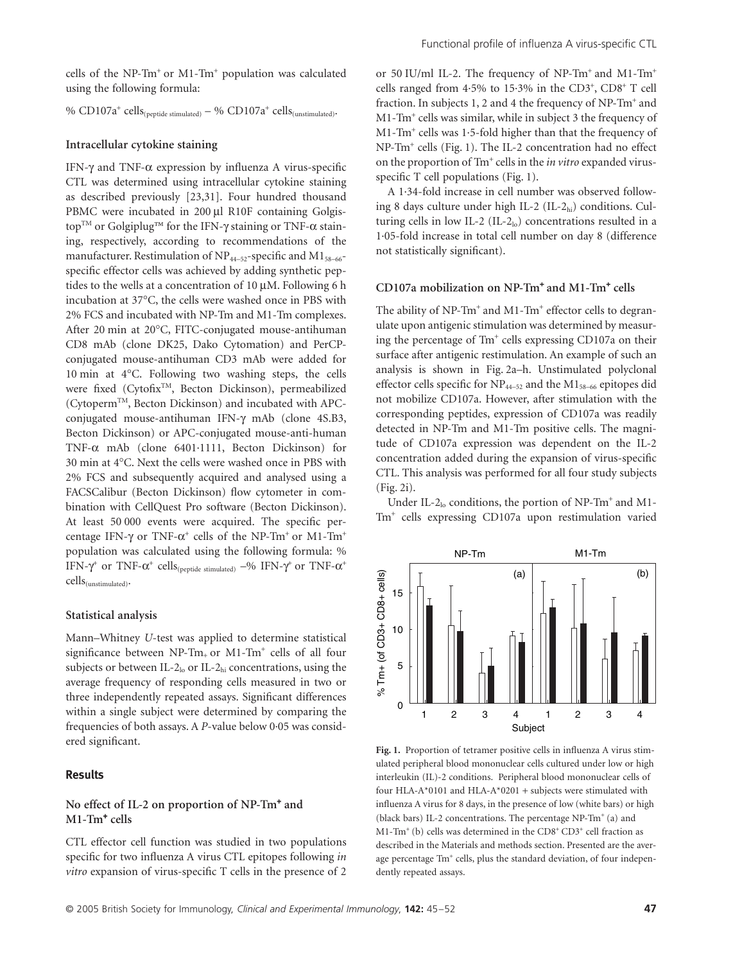cells of the NP-Tm<sup>+</sup> or M1-Tm<sup>+</sup> population was calculated using the following formula:

% CD107a<sup>+</sup> cells<sub>(peptide stimulated)</sub> – % CD107a<sup>+</sup> cells<sub>(unstimulated)</sub>.

#### **Intracellular cytokine staining**

IFN- $\gamma$  and TNF- $\alpha$  expression by influenza A virus-specific CTL was determined using intracellular cytokine staining as described previously [23,31]. Four hundred thousand PBMC were incubated in 200 µl R10F containing Golgistop<sup>™</sup> or Golgiplug™ for the IFN- $\gamma$  staining or TNF- $\alpha$  staining, respectively, according to recommendations of the manufacturer. Restimulation of  $NP_{44-52}$ -specific and  $M1_{58-66}$ specific effector cells was achieved by adding synthetic peptides to the wells at a concentration of 10  $\mu$ M. Following 6 h incubation at 37∞C, the cells were washed once in PBS with 2% FCS and incubated with NP-Tm and M1-Tm complexes. After 20 min at 20∞C, FITC-conjugated mouse-antihuman CD8 mAb (clone DK25, Dako Cytomation) and PerCPconjugated mouse-antihuman CD3 mAb were added for 10 min at 4∞C. Following two washing steps, the cells were fixed (CytofixTM, Becton Dickinson), permeabilized (CytopermTM, Becton Dickinson) and incubated with APCconjugated mouse-antihuman IFN-g mAb (clone 4S.B3, Becton Dickinson) or APC-conjugated mouse-anti-human TNF-a mAb (clone 6401·1111, Becton Dickinson) for 30 min at 4∞C. Next the cells were washed once in PBS with 2% FCS and subsequently acquired and analysed using a FACSCalibur (Becton Dickinson) flow cytometer in combination with CellQuest Pro software (Becton Dickinson). At least 50 000 events were acquired. The specific percentage IFN- $\gamma$  or TNF- $\alpha^{\text{+}}$  cells of the NP-Tm<sup>+</sup> or M1-Tm<sup>+</sup> population was calculated using the following formula: % IFN- $\gamma^{\dagger}$  or TNF- $\alpha^{\dagger}$  cells<sub>(peptide stimulated)</sub> –% IFN- $\gamma^{\dagger}$  or TNF- $\alpha^{\dagger}$ cells(unstimulated).

#### **Statistical analysis**

Mann–Whitney *U*-test was applied to determine statistical significance between NP-Tm+ or M1-Tm<sup>+</sup> cells of all four subjects or between IL-2<sub>lo</sub> or IL-2<sub>hi</sub> concentrations, using the average frequency of responding cells measured in two or three independently repeated assays. Significant differences within a single subject were determined by comparing the frequencies of both assays. A *P*-value below 0·05 was considered significant.

## **Results**

# **No effect of IL-2 on proportion of NP-Tm**<sup>+</sup>  **and M1-Tm**<sup>+</sup>  **cells**

CTL effector cell function was studied in two populations specific for two influenza A virus CTL epitopes following *in vitro* expansion of virus-specific T cells in the presence of 2

or 50 IU/ml IL-2. The frequency of NP-Tm<sup>+</sup> and M1-Tm<sup>+</sup> cells ranged from  $4.5\%$  to  $15.3\%$  in the CD3<sup>+</sup>, CD8<sup>+</sup> T cell fraction. In subjects 1, 2 and 4 the frequency of NP-Tm<sup>+</sup> and M1-Tm<sup>+</sup> cells was similar, while in subject 3 the frequency of M1-Tm<sup>+</sup> cells was 1·5-fold higher than that the frequency of NP-Tm<sup>+</sup> cells (Fig. 1). The IL-2 concentration had no effect on the proportion of Tm<sup>+</sup> cells in the *in vitro* expanded virusspecific T cell populations (Fig. 1).

A 1·34-fold increase in cell number was observed following 8 days culture under high IL-2  $(IL-2<sub>hi</sub>)$  conditions. Culturing cells in low IL-2 (IL-2 $_{10}$ ) concentrations resulted in a 1·05-fold increase in total cell number on day 8 (difference not statistically significant).

## **CD107a mobilization on NP-Tm**<sup>+</sup>  **and M1-Tm**<sup>+</sup>  **cells**

The ability of NP-Tm<sup>+</sup> and M1-Tm<sup>+</sup> effector cells to degranulate upon antigenic stimulation was determined by measuring the percentage of Tm<sup>+</sup> cells expressing CD107a on their surface after antigenic restimulation. An example of such an analysis is shown in Fig. 2a–h. Unstimulated polyclonal effector cells specific for  $NP_{44-52}$  and the  $M1_{58-66}$  epitopes did not mobilize CD107a. However, after stimulation with the corresponding peptides, expression of CD107a was readily detected in NP-Tm and M1-Tm positive cells. The magnitude of CD107a expression was dependent on the IL-2 concentration added during the expansion of virus-specific CTL. This analysis was performed for all four study subjects (Fig. 2i).

Under IL-2<sub>lo</sub> conditions, the portion of NP-Tm<sup>+</sup> and M1-Tm<sup>+</sup> cells expressing CD107a upon restimulation varied



**Fig. 1.** Proportion of tetramer positive cells in influenza A virus stimulated peripheral blood mononuclear cells cultured under low or high interleukin (IL)-2 conditions. Peripheral blood mononuclear cells of four HLA-A\*0101 and HLA-A\*0201 + subjects were stimulated with influenza A virus for 8 days, in the presence of low (white bars) or high (black bars) IL-2 concentrations. The percentage NP-Tm<sup>+</sup> (a) and M1-Tm<sup>+</sup> (b) cells was determined in the CD8<sup>+</sup> CD3<sup>+</sup> cell fraction as described in the Materials and methods section. Presented are the average percentage Tm<sup>+</sup> cells, plus the standard deviation, of four independently repeated assays.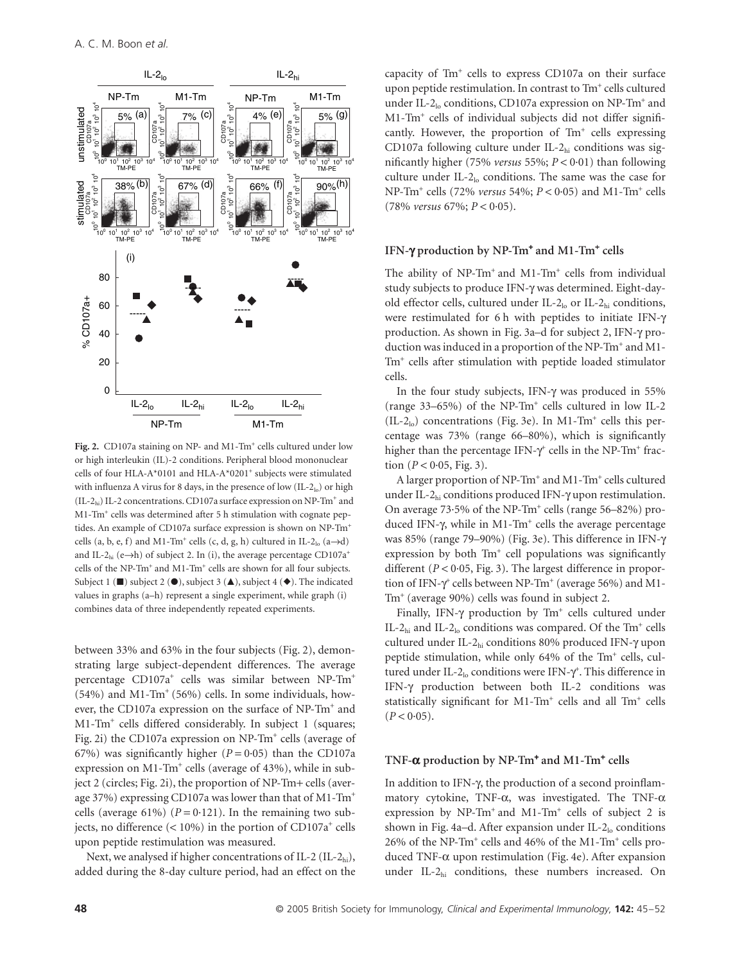

Fig. 2. CD107a staining on NP- and M1-Tm<sup>+</sup> cells cultured under low or high interleukin (IL)-2 conditions. Peripheral blood mononuclear cells of four HLA-A\*0101 and HLA-A\*0201<sup>+</sup> subjects were stimulated with influenza A virus for 8 days, in the presence of low  $(IL-2<sub>lo</sub>)$  or high  $\rm (II-2_{hi})$ IL-2 concentrations. CD107a surface expression on NP-Tm $^+$  and M1-Tm<sup>+</sup> cells was determined after 5 h stimulation with cognate peptides. An example of CD107a surface expression is shown on NP-Tm<sup>+</sup> cells  $(a, b, e, f)$  and M1-Tm<sup>+</sup> cells  $(c, d, g, h)$  cultured in IL-2<sub>lo</sub>  $(a \rightarrow d)$ and IL-2<sub>hi</sub> (e $\rightarrow$ h) of subject 2. In (i), the average percentage CD107a<sup>+</sup> cells of the NP-Tm<sup>+</sup> and M1-Tm<sup>+</sup> cells are shown for all four subjects. Subject 1 ( $\blacksquare$ ) subject 2 ( $\spadesuit$ ), subject 3 ( $\spadesuit$ ), subject 4 ( $\spadesuit$ ). The indicated values in graphs (a–h) represent a single experiment, while graph (i) combines data of three independently repeated experiments.

between 33% and 63% in the four subjects (Fig. 2), demonstrating large subject-dependent differences. The average percentage CD107a<sup>+</sup> cells was similar between NP-Tm<sup>+</sup> (54%) and M1-Tm<sup>+</sup> (56%) cells. In some individuals, however, the CD107a expression on the surface of NP-Tm<sup>+</sup> and M1-Tm<sup>+</sup> cells differed considerably. In subject 1 (squares; Fig. 2i) the CD107a expression on NP-Tm<sup>+</sup> cells (average of 67%) was significantly higher  $(P = 0.05)$  than the CD107a expression on M1-Tm<sup>+</sup> cells (average of 43%), while in subject 2 (circles; Fig. 2i), the proportion of NP-Tm+ cells (average 37%) expressing CD107a was lower than that of M1-Tm<sup>+</sup> cells (average 61%)  $(P = 0.121)$ . In the remaining two subjects, no difference (< 10%) in the portion of CD107a<sup>+</sup> cells upon peptide restimulation was measured.

Next, we analysed if higher concentrations of IL-2  $(II-2<sub>hi</sub>)$ , added during the 8-day culture period, had an effect on the

capacity of Tm<sup>+</sup> cells to express CD107a on their surface upon peptide restimulation. In contrast to Tm<sup>+</sup> cells cultured under IL-2lo conditions, CD107a expression on NP-Tm<sup>+</sup> and M1-Tm<sup>+</sup> cells of individual subjects did not differ significantly. However, the proportion of Tm<sup>+</sup> cells expressing CD107a following culture under IL-2hi conditions was significantly higher (75% *versus* 55%; *P* < 0·01) than following culture under IL-2lo conditions. The same was the case for NP-Tm<sup>+</sup> cells (72% *versus* 54%; *P* < 0·05) and M1-Tm<sup>+</sup> cells (78% *versus* 67%; *P* < 0·05).

## **IFN-**g **production by NP-Tm**<sup>+</sup>  **and M1-Tm**<sup>+</sup>  **cells**

The ability of NP-Tm<sup>+</sup> and M1-Tm<sup>+</sup> cells from individual study subjects to produce IFN-g was determined. Eight-dayold effector cells, cultured under IL- $2<sub>lo</sub>$  or IL- $2<sub>hi</sub>$  conditions, were restimulated for 6 h with peptides to initiate IFN-g production. As shown in Fig. 3a–d for subject 2, IFN-g production was induced in a proportion of the NP-Tm<sup>+</sup> and M1-Tm<sup>+</sup> cells after stimulation with peptide loaded stimulator cells.

In the four study subjects, IFN- $\gamma$  was produced in 55% (range 33–65%) of the NP-Tm<sup>+</sup> cells cultured in low IL-2  $(IL-2<sub>lo</sub>)$  concentrations (Fig. 3e). In M1-Tm<sup>+</sup> cells this percentage was 73% (range 66–80%), which is significantly higher than the percentage IFN- $\gamma^*$  cells in the NP-Tm<sup>+</sup> fraction  $(P < 0.05, Fig. 3)$ .

A larger proportion of NP-Tm<sup>+</sup> and M1-Tm<sup>+</sup> cells cultured under IL-2 $_{hi}$  conditions produced IFN- $\gamma$  upon restimulation. On average 73.5% of the NP-Tm<sup>+</sup> cells (range 56-82%) produced IFN-γ, while in M1-Tm<sup>+</sup> cells the average percentage was 85% (range 79–90%) (Fig. 3e). This difference in IFN-g expression by both Tm<sup>+</sup> cell populations was significantly different (*P* < 0·05, Fig. 3). The largest difference in proportion of IFN- $\gamma^{\text{+}}$  cells between NP-Tm<sup>+</sup> (average 56%) and M1-Tm<sup>+</sup> (average 90%) cells was found in subject 2.

Finally, IFN- $\gamma$  production by Tm<sup>+</sup> cells cultured under IL-2<sub>hi</sub> and IL-2<sub>lo</sub> conditions was compared. Of the Tm<sup>+</sup> cells cultured under IL-2hi conditions 80% produced IFN-g upon peptide stimulation, while only 64% of the Tm<sup>+</sup> cells, cultured under IL-2 $_{\text{lo}}$  conditions were IFN- $\gamma^{\text{+}}$ . This difference in IFN-g production between both IL-2 conditions was statistically significant for M1-Tm<sup>+</sup> cells and all Tm<sup>+</sup> cells  $(P < 0.05)$ .

## **TNF-**a **production by NP-Tm**<sup>+</sup>  **and M1-Tm**<sup>+</sup>  **cells**

In addition to IFN- $\gamma$ , the production of a second proinflammatory cytokine, TNF- $\alpha$ , was investigated. The TNF- $\alpha$ expression by NP-Tm<sup>+</sup> and M1-Tm<sup>+</sup> cells of subject 2 is shown in Fig. 4a–d. After expansion under IL- $2<sub>lo</sub>$  conditions 26% of the NP-Tm<sup>+</sup> cells and 46% of the M1-Tm<sup>+</sup> cells produced TNF- $\alpha$  upon restimulation (Fig. 4e). After expansion under IL-2hi conditions, these numbers increased. On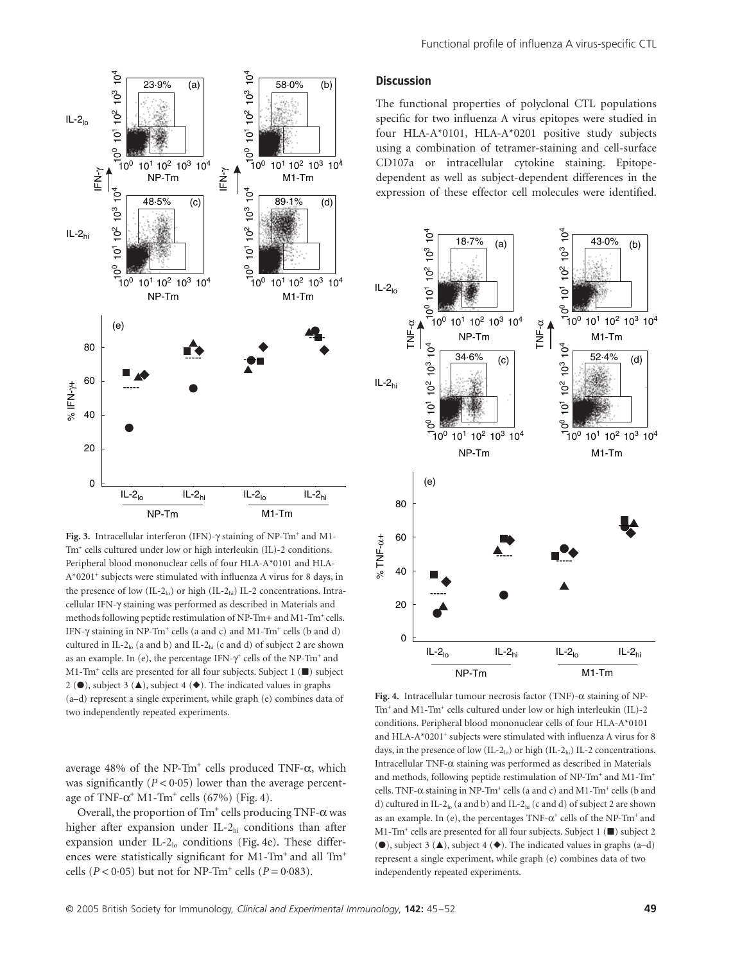

Fig. 3. Intracellular interferon (IFN)- $\gamma$  staining of NP-Tm<sup>+</sup> and M1-Tm<sup>+</sup> cells cultured under low or high interleukin (IL)-2 conditions. Peripheral blood mononuclear cells of four HLA-A\*0101 and HLA-A\*0201<sup>+</sup> subjects were stimulated with influenza A virus for 8 days, in the presence of low  $(IL-2<sub>10</sub>)$  or high  $(IL-2<sub>10</sub>)$  IL-2 concentrations. Intracellular IFN-g staining was performed as described in Materials and methods following peptide restimulation of NP-Tm+ and M1-Tm<sup>+</sup> cells. IFN- $\gamma$  staining in NP-Tm<sup>+</sup> cells (a and c) and M1-Tm<sup>+</sup> cells (b and d) cultured in IL-2lo (a and b) and IL-2hi (c and d) of subject 2 are shown as an example. In (e), the percentage IFN- $\gamma^{\text{+}}$  cells of the NP-Tm<sup>+</sup> and M1-Tm<sup>+</sup> cells are presented for all four subjects. Subject 1 ( $\blacksquare$ ) subject 2 ( $\bullet$ ), subject 3 ( $\blacktriangle$ ), subject 4 ( $\blacklozenge$ ). The indicated values in graphs (a–d) represent a single experiment, while graph (e) combines data of the 20<br>  $\frac{1}{2}$  40<br>  $\frac{1}{8}$  40<br>  $\frac{1}{8}$  40<br>  $\frac{1}{2}$  1<br>  $\frac{1}{8}$  1<br>  $\frac{1}{2}$  1<br>  $\frac{1}{2}$  1<br>  $\frac{1}{2}$  1<br>  $\frac{1}{2}$  1<br>  $\frac{1}{2}$  1<br>  $\frac{1}{2}$  1<br>  $\frac{1}{2}$  1<br>  $\frac{1}{2}$  2<br>  $\frac{1}{2}$  1<br>  $\frac{1}{2}$  2<br>  $\frac{1}{2}$  2<br>

average  $48\%$  of the NP-Tm<sup>+</sup> cells produced TNF- $\alpha$ , which was significantly  $(P < 0.05)$  lower than the average percentage of  $TNF-\alpha^+M1-Tm^+$  cells (67%) (Fig. 4).

Overall, the proportion of  $\text{Im}^+$  cells producing  $\text{TNF-}\alpha$  was higher after expansion under IL-2<sub>hi</sub> conditions than after expansion under IL- $2<sub>lo</sub>$  conditions (Fig. 4e). These differences were statistically significant for M1-Tm<sup>+</sup> and all Tm<sup>+</sup> cells ( $P < 0.05$ ) but not for NP-Tm<sup>+</sup> cells ( $P = 0.083$ ).

#### **Discussion**

The functional properties of polyclonal CTL populations specific for two influenza A virus epitopes were studied in four HLA-A\*0101, HLA-A\*0201 positive study subjects using a combination of tetramer-staining and cell-surface CD107a or intracellular cytokine staining. Epitopedependent as well as subject-dependent differences in the expression of these effector cell molecules were identified.



Fig. 4. Intracellular tumour necrosis factor (TNF)- $\alpha$  staining of NP-Tm<sup>+</sup> and M1-Tm<sup>+</sup> cells cultured under low or high interleukin (IL)-2 conditions. Peripheral blood mononuclear cells of four HLA-A\*0101 and HLA-A\*0201<sup>+</sup> subjects were stimulated with influenza A virus for 8 days, in the presence of low  $(IL-2<sub>lo</sub>)$  or high  $(IL-2<sub>hi</sub>)$  IL-2 concentrations. Intracellular TNF- $\alpha$  staining was performed as described in Materials and methods, following peptide restimulation of NP-Tm<sup>+</sup> and M1-Tm<sup>+</sup> cells. TNF- $\alpha$  staining in NP-Tm<sup>+</sup> cells (a and c) and M1-Tm<sup>+</sup> cells (b and d) cultured in IL-2 $_{\text{lo}}$  (a and b) and IL-2 $_{\text{hi}}$  (c and d) of subject 2 are shown as an example. In (e), the percentages  $TNF-\alpha^{+}$  cells of the NP-Tm<sup>+</sup> and M1-Tm<sup>+</sup> cells are presented for all four subjects. Subject  $1$  ( $\blacksquare$ ) subject 2 ( $\bullet$ ), subject 3 ( $\blacktriangle$ ), subject 4 ( $\blacklozenge$ ). The indicated values in graphs (a–d) represent a single experiment, while graph (e) combines data of two independently repeated experiments.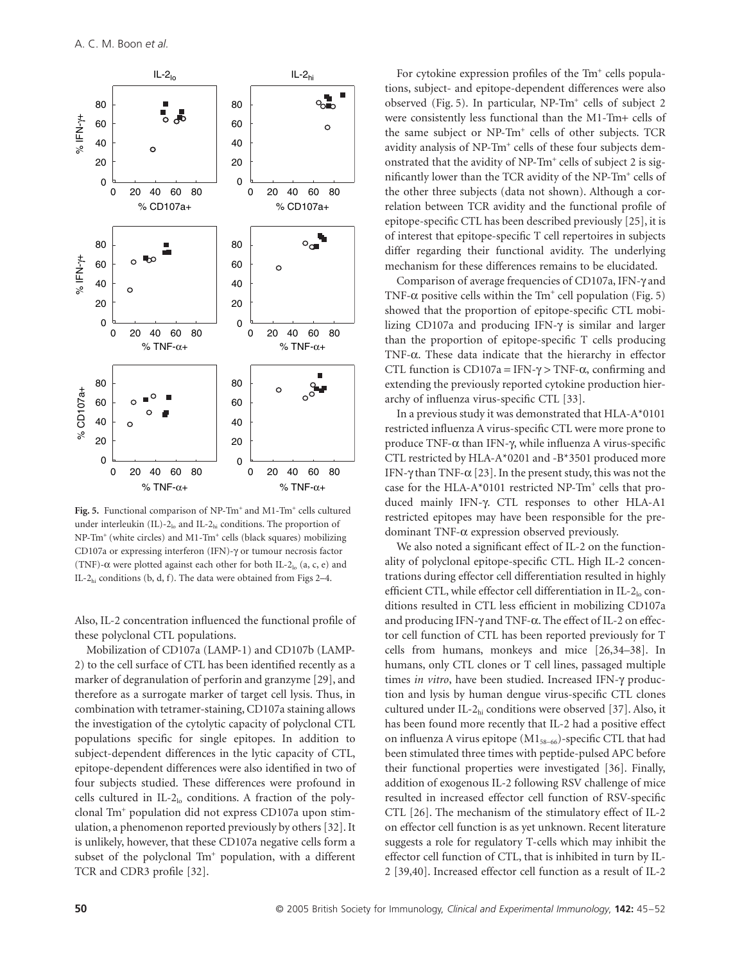

Fig. 5. Functional comparison of NP-Tm<sup>+</sup> and M1-Tm<sup>+</sup> cells cultured under interleukin (IL)-2 $_{\text{lo}}$  and IL-2 $_{\text{hi}}$  conditions. The proportion of NP-Tm<sup>+</sup> (white circles) and M1-Tm<sup>+</sup> cells (black squares) mobilizing CD107a or expressing interferon (IFN)-γ or tumour necrosis factor (TNF)- $\alpha$  were plotted against each other for both IL-2<sub>lo</sub> (a, c, e) and IL-2<sub>hi</sub> conditions (b, d, f). The data were obtained from Figs  $2-4$ .

Also, IL-2 concentration influenced the functional profile of these polyclonal CTL populations.

Mobilization of CD107a (LAMP-1) and CD107b (LAMP-2) to the cell surface of CTL has been identified recently as a marker of degranulation of perforin and granzyme [29], and therefore as a surrogate marker of target cell lysis. Thus, in combination with tetramer-staining, CD107a staining allows the investigation of the cytolytic capacity of polyclonal CTL populations specific for single epitopes. In addition to subject-dependent differences in the lytic capacity of CTL, epitope-dependent differences were also identified in two of four subjects studied. These differences were profound in cells cultured in IL- $2<sub>lo</sub>$  conditions. A fraction of the polyclonal Tm<sup>+</sup> population did not express CD107a upon stimulation, a phenomenon reported previously by others [32]. It is unlikely, however, that these CD107a negative cells form a subset of the polyclonal Tm<sup>+</sup> population, with a different TCR and CDR3 profile [32].

For cytokine expression profiles of the Tm<sup>+</sup> cells populations, subject- and epitope-dependent differences were also observed (Fig. 5). In particular, NP-Tm<sup>+</sup> cells of subject 2 were consistently less functional than the M1-Tm+ cells of the same subject or NP-Tm<sup>+</sup> cells of other subjects. TCR avidity analysis of NP-Tm<sup>+</sup> cells of these four subjects demonstrated that the avidity of NP-Tm<sup>+</sup> cells of subject 2 is significantly lower than the TCR avidity of the NP-Tm<sup>+</sup> cells of the other three subjects (data not shown). Although a correlation between TCR avidity and the functional profile of epitope-specific CTL has been described previously [25], it is of interest that epitope-specific T cell repertoires in subjects differ regarding their functional avidity. The underlying mechanism for these differences remains to be elucidated.

Comparison of average frequencies of CD107a, IFN- $\gamma$  and TNF- $\alpha$  positive cells within the Tm<sup>+</sup> cell population (Fig. 5) showed that the proportion of epitope-specific CTL mobilizing CD107a and producing IFN-g is similar and larger than the proportion of epitope-specific T cells producing TNF- $\alpha$ . These data indicate that the hierarchy in effector CTL function is  $CD107a = IFN-\gamma > TNF-\alpha$ , confirming and extending the previously reported cytokine production hierarchy of influenza virus-specific CTL [33].

In a previous study it was demonstrated that HLA-A\*0101 restricted influenza A virus-specific CTL were more prone to produce TNF- $\alpha$  than IFN- $\gamma$ , while influenza A virus-specific CTL restricted by HLA-A\*0201 and -B\*3501 produced more IFN- $\gamma$  than TNF- $\alpha$  [23]. In the present study, this was not the case for the HLA-A\*0101 restricted NP-Tm<sup>+</sup> cells that produced mainly IFN-γ. CTL responses to other HLA-A1 restricted epitopes may have been responsible for the predominant TNF- $\alpha$  expression observed previously.

We also noted a significant effect of IL-2 on the functionality of polyclonal epitope-specific CTL. High IL-2 concentrations during effector cell differentiation resulted in highly efficient CTL, while effector cell differentiation in IL-2lo conditions resulted in CTL less efficient in mobilizing CD107a and producing IFN- $\gamma$  and TNF- $\alpha$ . The effect of IL-2 on effector cell function of CTL has been reported previously for T cells from humans, monkeys and mice [26,34–38]. In humans, only CTL clones or T cell lines, passaged multiple times *in vitro*, have been studied. Increased IFN- $\gamma$  production and lysis by human dengue virus-specific CTL clones cultured under IL-2hi conditions were observed [37]. Also, it has been found more recently that IL-2 had a positive effect on influenza A virus epitope (M158-66)-specific CTL that had been stimulated three times with peptide-pulsed APC before their functional properties were investigated [36]. Finally, addition of exogenous IL-2 following RSV challenge of mice resulted in increased effector cell function of RSV-specific CTL [26]. The mechanism of the stimulatory effect of IL-2 on effector cell function is as yet unknown. Recent literature suggests a role for regulatory T-cells which may inhibit the effector cell function of CTL, that is inhibited in turn by IL-2 [39,40]. Increased effector cell function as a result of IL-2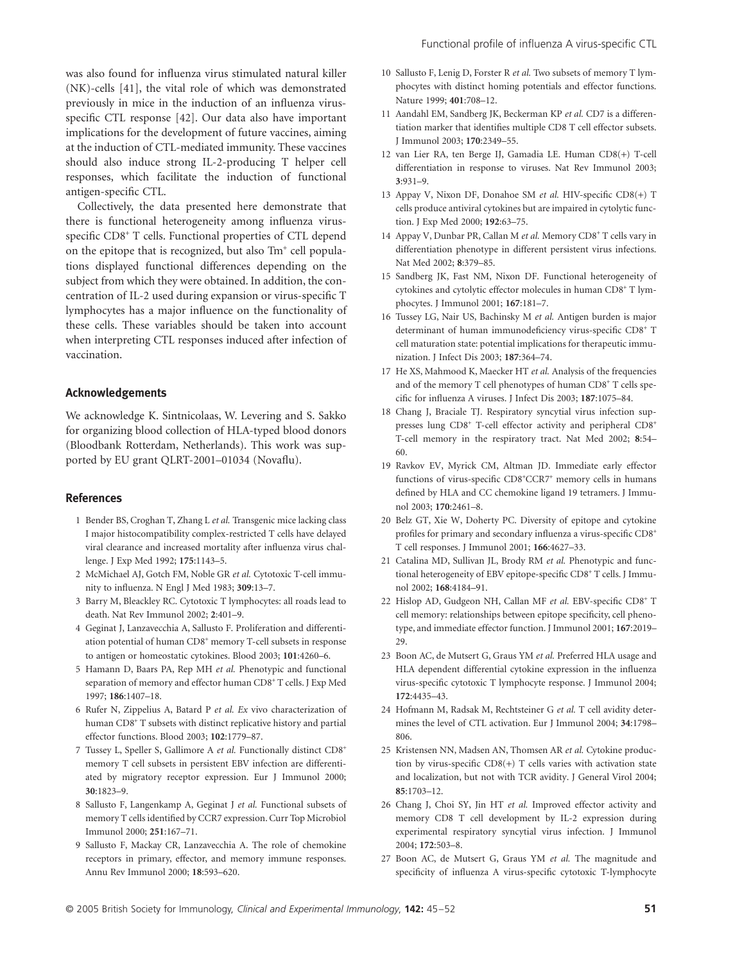was also found for influenza virus stimulated natural killer (NK)-cells [41], the vital role of which was demonstrated previously in mice in the induction of an influenza virusspecific CTL response [42]. Our data also have important implications for the development of future vaccines, aiming at the induction of CTL-mediated immunity. These vaccines should also induce strong IL-2-producing T helper cell responses, which facilitate the induction of functional antigen-specific CTL.

Collectively, the data presented here demonstrate that there is functional heterogeneity among influenza virusspecific CD8<sup>+</sup> T cells. Functional properties of CTL depend on the epitope that is recognized, but also Tm<sup>+</sup> cell populations displayed functional differences depending on the subject from which they were obtained. In addition, the concentration of IL-2 used during expansion or virus-specific T lymphocytes has a major influence on the functionality of these cells. These variables should be taken into account when interpreting CTL responses induced after infection of vaccination.

## **Acknowledgements**

We acknowledge K. Sintnicolaas, W. Levering and S. Sakko for organizing blood collection of HLA-typed blood donors (Bloodbank Rotterdam, Netherlands). This work was supported by EU grant QLRT-2001–01034 (Novaflu).

#### **References**

- 1 Bender BS, Croghan T, Zhang L *et al.* Transgenic mice lacking class I major histocompatibility complex-restricted T cells have delayed viral clearance and increased mortality after influenza virus challenge. J Exp Med 1992; **175**:1143–5.
- 2 McMichael AJ, Gotch FM, Noble GR *et al.* Cytotoxic T-cell immunity to influenza. N Engl J Med 1983; **309**:13–7.
- 3 Barry M, Bleackley RC. Cytotoxic T lymphocytes: all roads lead to death. Nat Rev Immunol 2002; **2**:401–9.
- 4 Geginat J, Lanzavecchia A, Sallusto F. Proliferation and differentiation potential of human CD8<sup>+</sup> memory T-cell subsets in response to antigen or homeostatic cytokines. Blood 2003; **101**:4260–6.
- 5 Hamann D, Baars PA, Rep MH *et al.* Phenotypic and functional separation of memory and effector human CD8<sup>+</sup> T cells. J Exp Med 1997; **186**:1407–18.
- 6 Rufer N, Zippelius A, Batard P *et al. Ex* vivo characterization of human CD8<sup>+</sup> T subsets with distinct replicative history and partial effector functions. Blood 2003; **102**:1779–87.
- 7 Tussey L, Speller S, Gallimore A *et al.* Functionally distinct CD8<sup>+</sup> memory T cell subsets in persistent EBV infection are differentiated by migratory receptor expression. Eur J Immunol 2000; **30**:1823–9.
- 8 Sallusto F, Langenkamp A, Geginat J *et al.* Functional subsets of memory T cells identified by CCR7 expression. Curr Top Microbiol Immunol 2000; **251**:167–71.
- 9 Sallusto F, Mackay CR, Lanzavecchia A. The role of chemokine receptors in primary, effector, and memory immune responses. Annu Rev Immunol 2000; **18**:593–620.
- 10 Sallusto F, Lenig D, Forster R *et al.* Two subsets of memory T lymphocytes with distinct homing potentials and effector functions. Nature 1999; **401**:708–12.
- 11 Aandahl EM, Sandberg JK, Beckerman KP *et al.* CD7 is a differentiation marker that identifies multiple CD8 T cell effector subsets. J Immunol 2003; **170**:2349–55.
- 12 van Lier RA, ten Berge IJ, Gamadia LE. Human CD8(+) T-cell differentiation in response to viruses. Nat Rev Immunol 2003; **3**:931–9.
- 13 Appay V, Nixon DF, Donahoe SM *et al.* HIV-specific CD8(+) T cells produce antiviral cytokines but are impaired in cytolytic function. J Exp Med 2000; **192**:63–75.
- 14 Appay V, Dunbar PR, Callan M et al. Memory CD8<sup>+</sup> T cells vary in differentiation phenotype in different persistent virus infections. Nat Med 2002; **8**:379–85.
- 15 Sandberg JK, Fast NM, Nixon DF. Functional heterogeneity of cytokines and cytolytic effector molecules in human CD8<sup>+</sup> T lymphocytes. J Immunol 2001; **167**:181–7.
- 16 Tussey LG, Nair US, Bachinsky M *et al.* Antigen burden is major determinant of human immunodeficiency virus-specific CD8<sup>+</sup> T cell maturation state: potential implications for therapeutic immunization. J Infect Dis 2003; **187**:364–74.
- 17 He XS, Mahmood K, Maecker HT *et al.* Analysis of the frequencies and of the memory T cell phenotypes of human CD8<sup>+</sup> T cells specific for influenza A viruses. J Infect Dis 2003; **187**:1075–84.
- 18 Chang J, Braciale TJ. Respiratory syncytial virus infection suppresses lung CD8<sup>+</sup> T-cell effector activity and peripheral CD8<sup>+</sup> T-cell memory in the respiratory tract. Nat Med 2002; **8**:54– 60.
- 19 Ravkov EV, Myrick CM, Altman JD. Immediate early effector functions of virus-specific CD8<sup>+</sup>CCR7<sup>+</sup> memory cells in humans defined by HLA and CC chemokine ligand 19 tetramers. J Immunol 2003; **170**:2461–8.
- 20 Belz GT, Xie W, Doherty PC. Diversity of epitope and cytokine profiles for primary and secondary influenza a virus-specific CD8<sup>+</sup> T cell responses. J Immunol 2001; **166**:4627–33.
- 21 Catalina MD, Sullivan JL, Brody RM *et al.* Phenotypic and functional heterogeneity of EBV epitope-specific CD8<sup>+</sup> T cells. J Immunol 2002; **168**:4184–91.
- 22 Hislop AD, Gudgeon NH, Callan MF et al. EBV-specific CD8<sup>+</sup> T cell memory: relationships between epitope specificity, cell phenotype, and immediate effector function. J Immunol 2001; **167**:2019– 29.
- 23 Boon AC, de Mutsert G, Graus YM *et al.* Preferred HLA usage and HLA dependent differential cytokine expression in the influenza virus-specific cytotoxic T lymphocyte response. J Immunol 2004; **172**:4435–43.
- 24 Hofmann M, Radsak M, Rechtsteiner G *et al.* T cell avidity determines the level of CTL activation. Eur J Immunol 2004; **34**:1798– 806.
- 25 Kristensen NN, Madsen AN, Thomsen AR *et al.* Cytokine production by virus-specific CD8(+) T cells varies with activation state and localization, but not with TCR avidity. J General Virol 2004; **85**:1703–12.
- 26 Chang J, Choi SY, Jin HT *et al.* Improved effector activity and memory CD8 T cell development by IL-2 expression during experimental respiratory syncytial virus infection. J Immunol 2004; **172**:503–8.
- 27 Boon AC, de Mutsert G, Graus YM *et al.* The magnitude and specificity of influenza A virus-specific cytotoxic T-lymphocyte